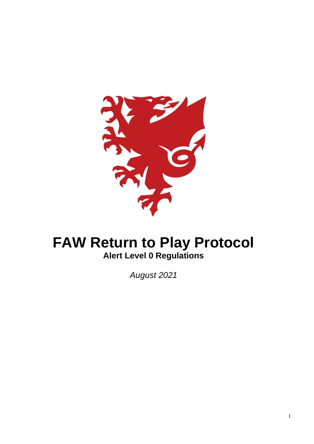

# **FAW Return to Play Protocol Alert Level 0 Regulations**

*August 2021*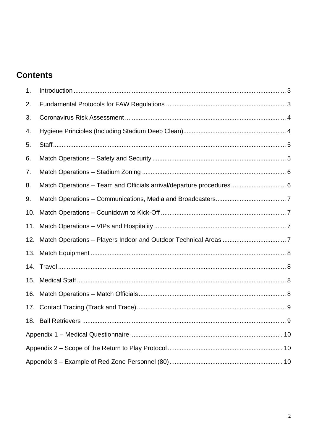## **Contents**

| 1.  |                                                                      |  |  |
|-----|----------------------------------------------------------------------|--|--|
| 2.  |                                                                      |  |  |
| 3.  |                                                                      |  |  |
| 4.  |                                                                      |  |  |
| 5.  |                                                                      |  |  |
| 6.  |                                                                      |  |  |
| 7.  |                                                                      |  |  |
| 8.  | Match Operations - Team and Officials arrival/departure procedures 6 |  |  |
| 9.  |                                                                      |  |  |
| 10. |                                                                      |  |  |
| 11. |                                                                      |  |  |
| 12. |                                                                      |  |  |
|     |                                                                      |  |  |
|     |                                                                      |  |  |
| 15. |                                                                      |  |  |
| 16. |                                                                      |  |  |
| 17. |                                                                      |  |  |
|     |                                                                      |  |  |
|     |                                                                      |  |  |
|     |                                                                      |  |  |
|     |                                                                      |  |  |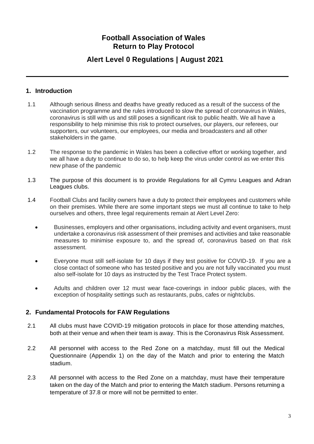## **Football Association of Wales Return to Play Protocol**

## **Alert Level 0 Regulations | August 2021**

#### <span id="page-2-0"></span>**1. Introduction**

- 1.1 Although serious illness and deaths have greatly reduced as a result of the success of the vaccination programme and the rules introduced to slow the spread of coronavirus in Wales, coronavirus is still with us and still poses a significant risk to public health. We all have a responsibility to help minimise this risk to protect ourselves, our players, our referees, our supporters, our volunteers, our employees, our media and broadcasters and all other stakeholders in the game.
- 1.2 The response to the pandemic in Wales has been a collective effort or working together, and we all have a duty to continue to do so, to help keep the virus under control as we enter this new phase of the pandemic
- 1.3 The purpose of this document is to provide Regulations for all Cymru Leagues and Adran Leagues clubs.
- 1.4 Football Clubs and facility owners have a duty to protect their employees and customers while on their premises. While there are some important steps we must all continue to take to help ourselves and others, three legal requirements remain at Alert Level Zero:
	- Businesses, employers and other organisations, including activity and event organisers, must undertake a coronavirus risk assessment of their premises and activities and take reasonable measures to minimise exposure to, and the spread of, coronavirus based on that risk assessment.
	- Everyone must still self-isolate for 10 days if they test positive for COVID-19. If you are a close contact of someone who has tested positive and you are not fully vaccinated you must also self-isolate for 10 days as instructed by the Test Trace Protect system.
	- Adults and children over 12 must wear face-coverings in indoor public places, with the exception of hospitality settings such as restaurants, pubs, cafes or nightclubs.

#### <span id="page-2-1"></span>**2. Fundamental Protocols for FAW Regulations**

- 2.1 All clubs must have COVID-19 mitigation protocols in place for those attending matches, both at their venue and when their team is away. This is the Coronavirus Risk Assessment.
- 2.2 All personnel with access to the Red Zone on a matchday, must fill out the Medical Questionnaire (Appendix 1) on the day of the Match and prior to entering the Match stadium.
- 2.3 All personnel with access to the Red Zone on a matchday, must have their temperature taken on the day of the Match and prior to entering the Match stadium. Persons returning a temperature of 37.8 or more will not be permitted to enter.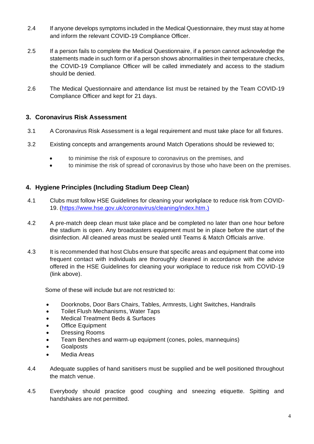- 2.4 If anyone develops symptoms included in the Medical Questionnaire, they must stay at home and inform the relevant COVID-19 Compliance Officer.
- 2.5 If a person fails to complete the Medical Questionnaire, if a person cannot acknowledge the statements made in such form or if a person shows abnormalities in their temperature checks, the COVID-19 Compliance Officer will be called immediately and access to the stadium should be denied.
- 2.6 The Medical Questionnaire and attendance list must be retained by the Team COVID-19 Compliance Officer and kept for 21 days.

#### <span id="page-3-0"></span>**3. Coronavirus Risk Assessment**

- 3.1 A Coronavirus Risk Assessment is a legal requirement and must take place for all fixtures.
- 3.2 Existing concepts and arrangements around Match Operations should be reviewed to;
	- to minimise the risk of exposure to coronavirus on the premises, and
	- to minimise the risk of spread of coronavirus by those who have been on the premises.

#### <span id="page-3-1"></span>**4. Hygiene Principles (Including Stadium Deep Clean)**

- 4.1 Clubs must follow HSE Guidelines for cleaning your workplace to reduce risk from COVID-19. [\(https://www.hse.gov.uk/coronavirus/cleaning/index.htm.](https://www.hse.gov.uk/coronavirus/cleaning/index.htm))
- 4.2 A pre-match deep clean must take place and be completed no later than one hour before the stadium is open. Any broadcasters equipment must be in place before the start of the disinfection. All cleaned areas must be sealed until Teams & Match Officials arrive.
- 4.3 It is recommended that host Clubs ensure that specific areas and equipment that come into frequent contact with individuals are thoroughly cleaned in accordance with the advice offered in the HSE Guidelines for cleaning your workplace to reduce risk from COVID-19 (link above).

Some of these will include but are not restricted to:

- Doorknobs, Door Bars Chairs, Tables, Armrests, Light Switches, Handrails
- Toilet Flush Mechanisms, Water Taps
- Medical Treatment Beds & Surfaces
- **Office Equipment**
- Dressing Rooms
- Team Benches and warm-up equipment (cones, poles, mannequins)
- Goalposts
- Media Areas
- 4.4 Adequate supplies of hand sanitisers must be supplied and be well positioned throughout the match venue.
- 4.5 Everybody should practice good coughing and sneezing etiquette. Spitting and handshakes are not permitted.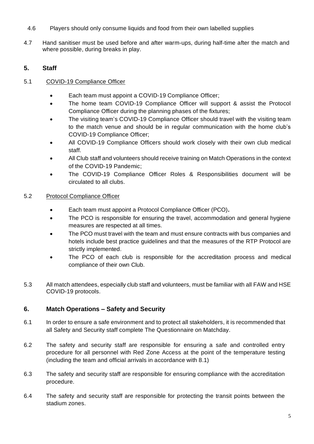- 4.6 Players should only consume liquids and food from their own labelled supplies
- 4.7 Hand sanitiser must be used before and after warm-ups, during half-time after the match and where possible, during breaks in play.

### <span id="page-4-0"></span>**5. Staff**

#### 5.1 COVID-19 Compliance Officer

- Each team must appoint a COVID-19 Compliance Officer;
- The home team COVID-19 Compliance Officer will support & assist the Protocol Compliance Officer during the planning phases of the fixtures;
- The visiting team's COVID-19 Compliance Officer should travel with the visiting team to the match venue and should be in regular communication with the home club's COVID-19 Compliance Officer;
- All COVID-19 Compliance Officers should work closely with their own club medical staff.
- All Club staff and volunteers should receive training on Match Operations in the context of the COVID-19 Pandemic;
- The COVID-19 Compliance Officer Roles & Responsibilities document will be circulated to all clubs.

#### 5.2 Protocol Compliance Officer

- Each team must appoint a Protocol Compliance Officer (PCO)**.**
- The PCO is responsible for ensuring the travel, accommodation and general hygiene measures are respected at all times.
- The PCO must travel with the team and must ensure contracts with bus companies and hotels include best practice guidelines and that the measures of the RTP Protocol are strictly implemented.
- The PCO of each club is responsible for the accreditation process and medical compliance of their own Club.
- 5.3 All match attendees, especially club staff and volunteers, must be familiar with all FAW and HSE COVID-19 protocols.

#### <span id="page-4-1"></span>**6. Match Operations – Safety and Security**

- 6.1 In order to ensure a safe environment and to protect all stakeholders, it is recommended that all Safety and Security staff complete The Questionnaire on Matchday.
- 6.2 The safety and security staff are responsible for ensuring a safe and controlled entry procedure for all personnel with Red Zone Access at the point of the temperature testing (including the team and official arrivals in accordance with 8.1)
- 6.3 The safety and security staff are responsible for ensuring compliance with the accreditation procedure.
- 6.4 The safety and security staff are responsible for protecting the transit points between the stadium zones.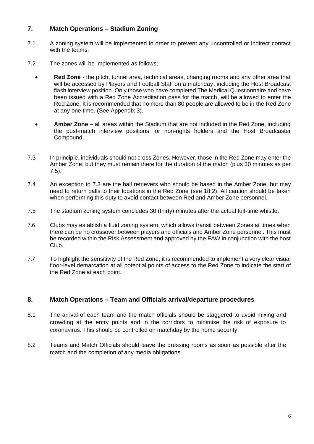#### <span id="page-5-0"></span>**7. Match Operations – Stadium Zoning**

- 7.1 A zoning system will be implemented in order to prevent any uncontrolled or indirect contact with the teams.
- 7.2 The zones will be implemented as follows;
	- **Red Zone** the pitch, tunnel area, technical areas, changing rooms and any other area that will be accessed by Players and Football Staff on a matchday, including the Host Broadcast flash interview position. Only those who have completed The Medical Questionnaire and have been issued with a Red Zone Accreditation pass for the match, will be allowed to enter the Red Zone. It is recommended that no more than 80 people are allowed to be in the Red Zone at any one time. (See Appendix 3).
	- **Amber Zone**  all areas within the Stadium that are not included in the Red Zone, including the post-match interview positions for non-rights holders and the Host Broadcaster Compound.
- 7.3 In principle, individuals should not cross Zones. However, those in the Red Zone may enter the Amber Zone, but they must remain there for the duration of the match (plus 30 minutes as per 7.5).
- 7.4 An exception to 7.3 are the ball retrievers who should be based in the Amber Zone, but may need to return balls to their locations in the Red Zone (see 18.2). All caution should be taken when performing this duty to avoid contact between Red and Amber Zone personnel.
- 7.5 The stadium zoning system concludes 30 (thirty) minutes after the actual full-time whistle.
- 7.6 Clubs may establish a fluid zoning system, which allows transit between Zones at times when there can be no crossover between players and officials and Amber Zone personnel. This must be recorded within the Risk Assessment and approved by the FAW in conjunction with the host Club.
- 7.7 To highlight the sensitivity of the Red Zone, it is recommended to implement a very clear visual floor-level demarcation at all potential points of access to the Red Zone to indicate the start of the Red Zone at each point.

#### <span id="page-5-1"></span>**8. Match Operations – Team and Officials arrival/departure procedures**

- 8.1 The arrival of each team and the match officials should be staggered to avoid mixing and crowding at the entry points and in the corridors to minimise the risk of exposure to coronavirus. This should be controlled on matchday by the home security.
- 8.2 Teams and Match Officials should leave the dressing rooms as soon as possible after the match and the completion of any media obligations.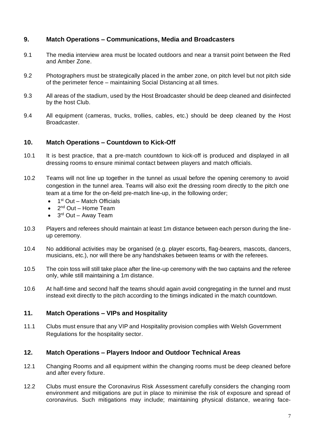#### <span id="page-6-0"></span>**9. Match Operations – Communications, Media and Broadcasters**

- 9.1 The media interview area must be located outdoors and near a transit point between the Red and Amber Zone.
- 9.2 Photographers must be strategically placed in the amber zone, on pitch level but not pitch side of the perimeter fence – maintaining Social Distancing at all times.
- 9.3 All areas of the stadium, used by the Host Broadcaster should be deep cleaned and disinfected by the host Club.
- 9.4 All equipment (cameras, trucks, trollies, cables, etc.) should be deep cleaned by the Host Broadcaster.

#### <span id="page-6-1"></span>**10. Match Operations – Countdown to Kick-Off**

- 10.1 It is best practice, that a pre-match countdown to kick-off is produced and displayed in all dressing rooms to ensure minimal contact between players and match officials.
- 10.2 Teams will not line up together in the tunnel as usual before the opening ceremony to avoid congestion in the tunnel area. Teams will also exit the dressing room directly to the pitch one team at a time for the on-field pre-match line-up, in the following order;
	- $\bullet$  1<sup>st</sup> Out Match Officials
	- 2<sup>nd</sup> Out Home Team
	- 3<sup>rd</sup> Out Away Team
- 10.3 Players and referees should maintain at least 1m distance between each person during the lineup ceremony.
- 10.4 No additional activities may be organised (e.g. player escorts, flag-bearers, mascots, dancers, musicians, etc.), nor will there be any handshakes between teams or with the referees.
- 10.5 The coin toss will still take place after the line-up ceremony with the two captains and the referee only, while still maintaining a 1m distance.
- 10.6 At half-time and second half the teams should again avoid congregating in the tunnel and must instead exit directly to the pitch according to the timings indicated in the match countdown.

#### <span id="page-6-2"></span>**11. Match Operations – VIPs and Hospitality**

11.1 Clubs must ensure that any VIP and Hospitality provision complies with Welsh Government Regulations for the hospitality sector.

#### <span id="page-6-3"></span>**12. Match Operations – Players Indoor and Outdoor Technical Areas**

- 12.1 Changing Rooms and all equipment within the changing rooms must be deep cleaned before and after every fixture.
- 12.2 Clubs must ensure the Coronavirus Risk Assessment carefully considers the changing room environment and mitigations are put in place to minimise the risk of exposure and spread of coronavirus. Such mitigations may include; maintaining physical distance, wearing face-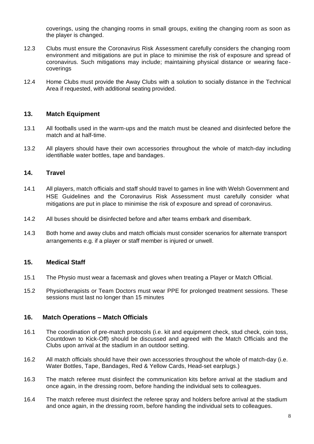coverings, using the changing rooms in small groups, exiting the changing room as soon as the player is changed.

- 12.3 Clubs must ensure the Coronavirus Risk Assessment carefully considers the changing room environment and mitigations are put in place to minimise the risk of exposure and spread of coronavirus. Such mitigations may include; maintaining physical distance or wearing facecoverings
- 12.4 Home Clubs must provide the Away Clubs with a solution to socially distance in the Technical Area if requested, with additional seating provided.

#### <span id="page-7-0"></span>**13. Match Equipment**

- 13.1 All footballs used in the warm-ups and the match must be cleaned and disinfected before the match and at half-time.
- 13.2 All players should have their own accessories throughout the whole of match-day including identifiable water bottles, tape and bandages.

#### <span id="page-7-1"></span>**14. Travel**

- 14.1 All players, match officials and staff should travel to games in line with Welsh Government and HSE Guidelines and the Coronavirus Risk Assessment must carefully consider what mitigations are put in place to minimise the risk of exposure and spread of coronavirus.
- 14.2 All buses should be disinfected before and after teams embark and disembark.
- 14.3 Both home and away clubs and match officials must consider scenarios for alternate transport arrangements e.g. if a player or staff member is injured or unwell.

#### <span id="page-7-2"></span>**15. Medical Staff**

- 15.1 The Physio must wear a facemask and gloves when treating a Player or Match Official.
- 15.2 Physiotherapists or Team Doctors must wear PPE for prolonged treatment sessions. These sessions must last no longer than 15 minutes

#### <span id="page-7-3"></span>**16. Match Operations – Match Officials**

- 16.1 The coordination of pre-match protocols (i.e. kit and equipment check, stud check, coin toss, Countdown to Kick-Off) should be discussed and agreed with the Match Officials and the Clubs upon arrival at the stadium in an outdoor setting.
- 16.2 All match officials should have their own accessories throughout the whole of match-day (i.e. Water Bottles, Tape, Bandages, Red & Yellow Cards, Head-set earplugs.)
- 16.3 The match referee must disinfect the communication kits before arrival at the stadium and once again, in the dressing room, before handing the individual sets to colleagues.
- 16.4 The match referee must disinfect the referee spray and holders before arrival at the stadium and once again, in the dressing room, before handing the individual sets to colleagues.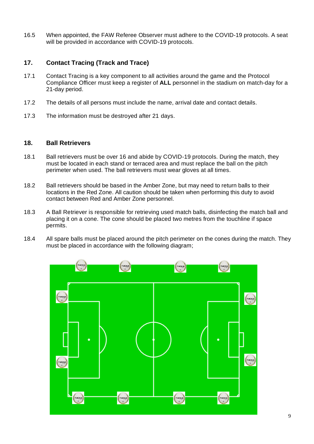16.5 When appointed, the FAW Referee Observer must adhere to the COVID-19 protocols. A seat will be provided in accordance with COVID-19 protocols.

#### <span id="page-8-0"></span>**17. Contact Tracing (Track and Trace)**

- 17.1 Contact Tracing is a key component to all activities around the game and the Protocol Compliance Officer must keep a register of **ALL** personnel in the stadium on match-day for a 21-day period.
- 17.2 The details of all persons must include the name, arrival date and contact details.
- 17.3 The information must be destroyed after 21 days.

#### <span id="page-8-1"></span>**18. Ball Retrievers**

- 18.1 Ball retrievers must be over 16 and abide by COVID-19 protocols. During the match, they must be located in each stand or terraced area and must replace the ball on the pitch perimeter when used. The ball retrievers must wear gloves at all times.
- 18.2 Ball retrievers should be based in the Amber Zone, but may need to return balls to their locations in the Red Zone. All caution should be taken when performing this duty to avoid contact between Red and Amber Zone personnel.
- 18.3 A Ball Retriever is responsible for retrieving used match balls, disinfecting the match ball and placing it on a cone. The cone should be placed two metres from the touchline if space permits.
- 18.4 All spare balls must be placed around the pitch perimeter on the cones during the match. They must be placed in accordance with the following diagram;